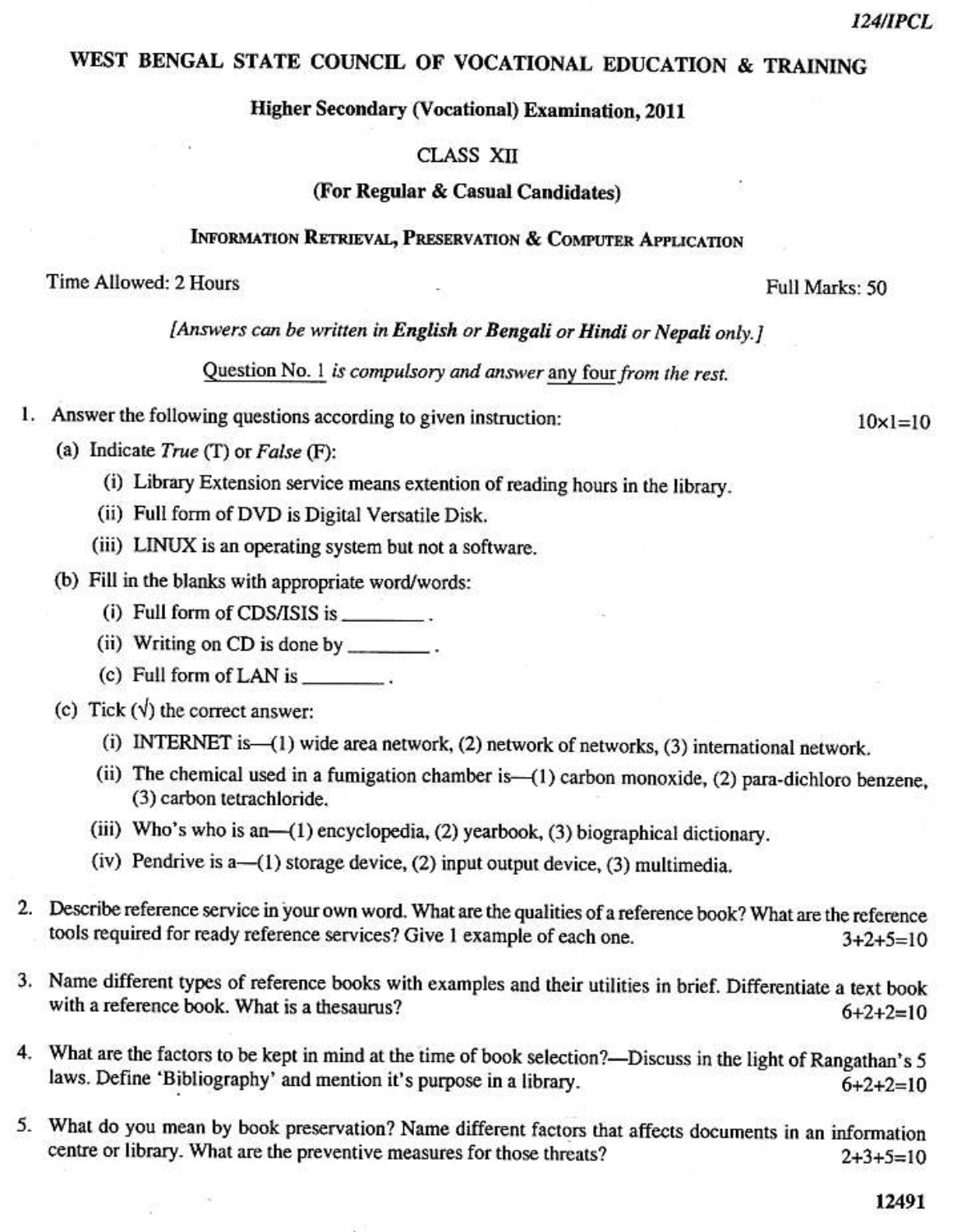$10x1=10$ 

# WEST BENGAL STATE COUNCIL OF VOCATIONAL EDUCATION & TRAINING

Higher Secondary (Vocational) Examination, 2011

## CLASS XII

#### (For Regular & Casual Candidates)

## INFORMATION RETRIEVAL, PRESERVATION & COMPUTER APPLICATION

Time Allowed: 2 Hours

Full Marks: 50

[Answers can be written in English or Bengali or Hindi or Nepali only.]

Question No. 1 is compulsory and answer any four from the rest.

- 1. Answer the following questions according to given instruction:
	- (a) Indicate  $True$  (T) or  $False$  (F):
		- (i) Library Extension service means extention of reading hours in the library.
		- (ii) Full form of DVD is Digital Versatile Disk.
		- (iii) LINUX is an operating system but not a software.
	- (b) Fill in the blanks with appropriate word/words:
		- $(i)$  Full form of CDS/ISIS is  $\_\_\_\_\_\_\_\_\_\$ .
		- (ii) Writing on CD is done by \_\_\_\_\_\_\_\_\_.
		- (c) Full form of LAN is \_\_\_\_\_\_\_\_.
	- (c) Tick  $(\sqrt{})$  the correct answer:
		- (i) INTERNET is (1) wide area network, (2) network of networks, (3) international network.
		- (ii) The chemical used in a fumigation chamber is -- (1) carbon monoxide, (2) para-dichloro benzene, (3) carbon tetrachloride.
		- (iii) Who's who is an—(1) encyclopedia, (2) yearbook, (3) biographical dictionary.
		- (iv) Pendrive is  $a$ —(1) storage device, (2) input output device, (3) multimedia.
- 2. Describe reference service in your own word. What are the qualities of a reference book? What are the reference tools required for ready reference services? Give 1 example of each one.  $3+2+5=10$
- 3. Name different types of reference books with examples and their utilities in brief. Differentiate a text book with a reference book. What is a thesaurus?  $6+2+2=10$
- 4. What are the factors to be kept in mind at the time of book selection?—Discuss in the light of Rangathan's 5 laws. Define 'Bibliography' and mention it's purpose in a library.  $6+2+2=10$
- 5. What do you mean by book preservation? Name different factors that affects documents in an information centre or library. What are the preventive measures for those threats?  $2+3+5=10$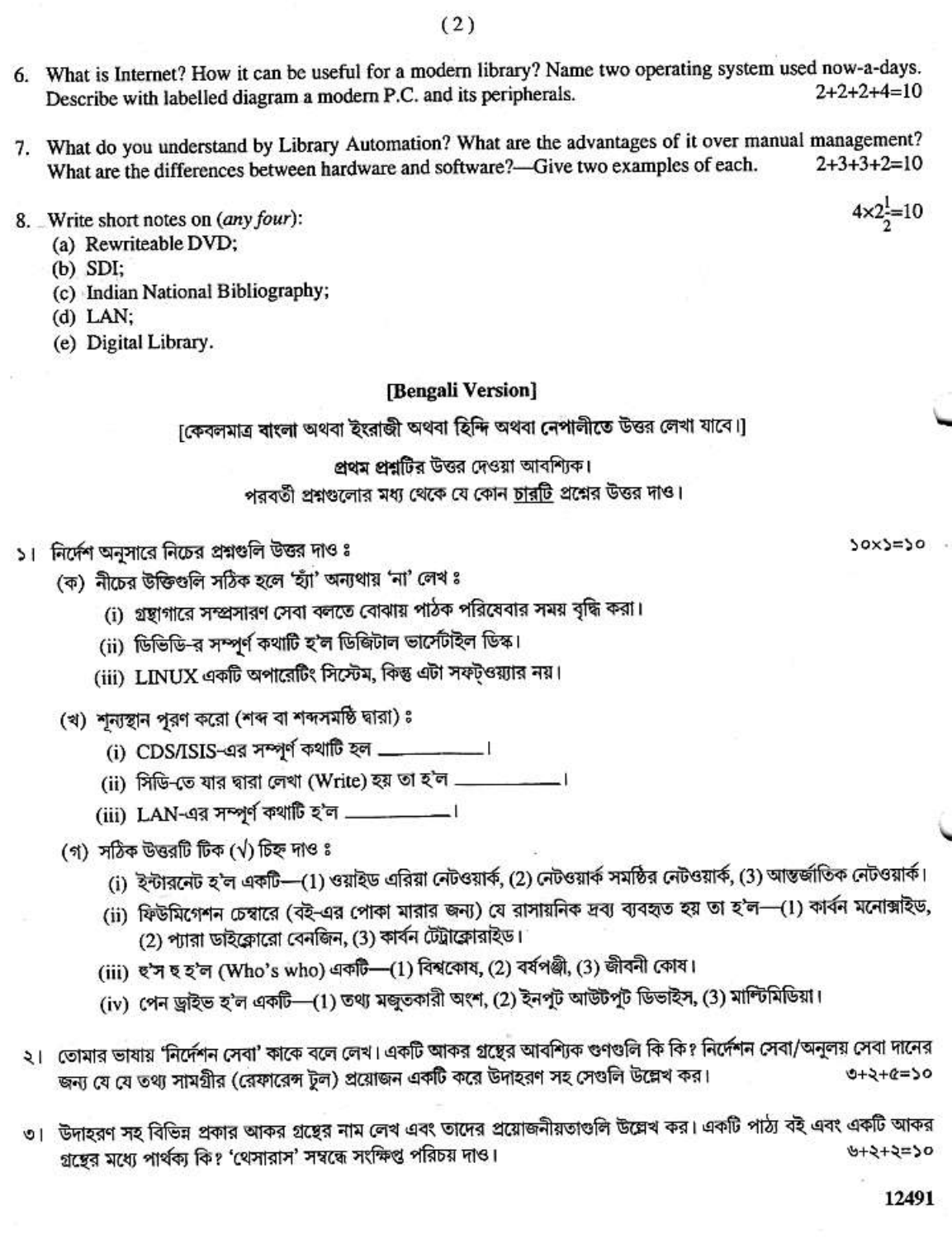- 6. What is Internet? How it can be useful for a modern library? Name two operating system used now-a-days.  $2+2+2+4=10$ Describe with labelled diagram a modern P.C. and its peripherals.
- 7. What do you understand by Library Automation? What are the advantages of it over manual management? What are the differences between hardware and software?- Give two examples of each.  $2+3+3+2=10$
- 8. Write short notes on (any four):
	- (a) Rewriteable DVD:
	- $(b)$  SDI;
	- (c) Indian National Bibliography;
	- $(d)$  LAN;
	- (e) Digital Library.

## [Bengali Version]

[কেবলমাত্র বাংলা অথবা ইংরাজী অথবা হিন্দি অথবা নেপালীতে উত্তর লেখা যাবে।]

প্রথম প্রশ্নটির উত্তর দেওয়া আবশিক।

পরবর্তী প্রশ্নগুলোর মধ্য থেকে যে কোন চারটি প্রশ্নের উত্তর দাও।

- ১। নির্দেশ অনুসারে নিচের প্রশ্নগুলি উত্তর দাও ঃ
	- (ক) নীচের উক্তিগুলি সঠিক হলে 'হ্যা' অন্যথায় 'না' লেখ ঃ
		- (i) গ্রন্থাগারে সম্প্রসারণ সেবা বলতে বোঝায় পাঠক পরিষেবার সময় বৃদ্ধি করা।
		- (ii) ডিভিডি-র সম্পূর্ণ কথাটি হ'ল ডিজিটাল ভার্সেটাইল ডিস্ক।
		- (iii) LINUX একটি অপারেটিং সিস্টেম, কিন্তু এটা সফট্ওয়্যার নয়।
	- (খ) শূন্যস্থান পুরণ করো (শব্দ বা শব্দসমষ্ঠি দ্বারা) ঃ
		- (i) CDS/ISIS-এর সম্পূর্ণ কথাটি হল \_\_\_\_\_\_\_\_\_\_\_।
		- (ii) সিডি-তে যার দ্বারা লেখা (Write) হয় তা হ'ল \_\_\_\_\_\_\_\_\_\_\_।
		- (iii) LAN-এর সম্পূর্ণ কথাটি হ'ল \_\_\_\_\_\_\_\_\_\_\_\_।
	- (গ) সঠিক উত্তরটি টিক (√) চিহ্ন দাওঃ
		- (i) ইন্টারনেট হ'ল একটি—(1) ওয়াইড এরিয়া নেটওয়ার্ক, (2) নেটওয়ার্ক সমষ্ঠির নেটওয়ার্ক, (3) আন্তর্জাতিক নেটওয়ার্ক।
		- (ii) ফিউমিগেশন চেম্বারে (বই-এর পোকা মারার জন্য) যে রাসায়নিক দ্রব্য ব্যবহৃত হয় তা হ'ল—(1) কার্বন মনোক্সাইড, (2) প্যারা ডাইক্রোরো বেনজিন, (3) কার্বন টেট্রাক্রোরাইড।
		- (iii) হ'স ছ হ'ল (Who's who) একটি—(1) বিশ্বকোষ, (2) বৰ্ষপঞ্জী, (3) জীবনী কোষ।
		- (iv) পেন ড্ৰাইভ হ'ল একটি—(1) তথ্য মজুতকারী অংশ, (2) ইনপুট আউটপুট ডিভাইস, (3) মাল্টিমিডিয়া।
- ২। তোমার ভাষায় 'নির্দেশন সেবা' কাকে বলে লেখ। একটি আকর গ্রন্থের আবশ্যিক গুণগুলি কি কি? নির্দেশন সেবা/অনুলয় সেবা দানের জন্য যে যে তথ্য সামগ্রীর (রেফারেন্স টুল) প্রয়োজন একটি করে উদাহরণ সহ সেগুলি উল্লেখ কর।  $0+2+0=50$
- ৩। উদাহরণ সহ বিভিন্ন প্রকার আকর গুছের নাম লেখ এবং তাদের প্রয়োজনীয়তাগুলি উল্লেখ কর। একটি পাঠ্য বই এবং একটি আকর গ্রন্থের মধ্যে পার্থক্য কি? 'থেসারাস' সম্বন্ধে সংক্ষিপ্ত পরিচয় দাও। 04=5+5+9

 $4 \times 2\frac{1}{2} = 10$ 

 $0\xi = \zeta \times 0$